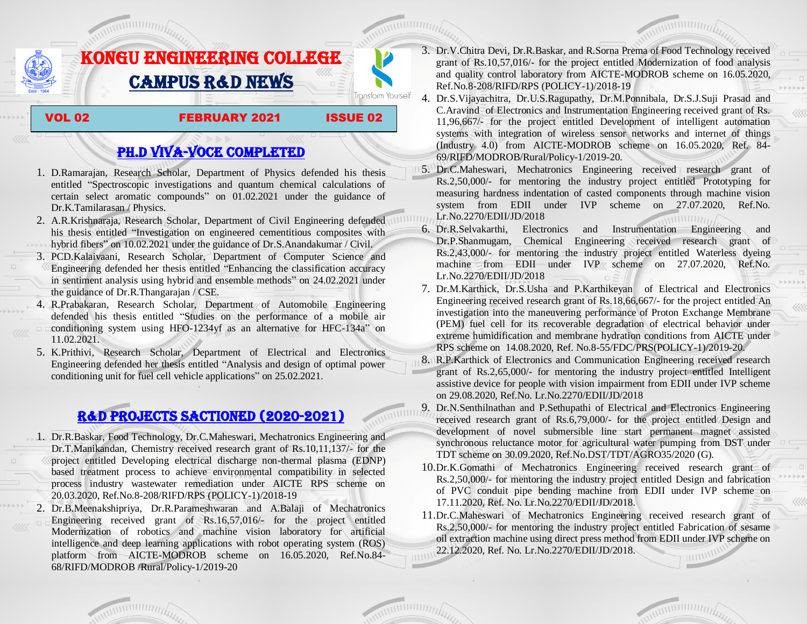

# PH.D VIVA-VOCE COMPLETED

- 1. D.Ramarajan, Research Scholar, Department of Physics defended his thesis entitled ―Spectroscopic investigations and quantum chemical calculations of certain select aromatic compounds" on 01.02.2021 under the guidance of Dr.K.Tamilarasan / Physics.
- 2. A.R.Krishnaraja, Research Scholar, Department of Civil Engineering defended his thesis entitled "Investigation on engineered cementitious composites with hybrid fibers" on 10.02.2021 under the guidance of Dr.S.Anandakumar / Civil.
- 3. PCD.Kalaivaani, Research Scholar, Department of Computer Science and Engineering defended her thesis entitled "Enhancing the classification accuracy" in sentiment analysis using hybrid and ensemble methods" on 24.02.2021 under the guidance of Dr.R.Thangarajan / CSE.
- 4. R.Prabakaran, Research Scholar, Department of Automobile Engineering defended his thesis entitled "Studies on the performance of a mobile air conditioning system using HFO-1234yf as an alternative for HFC-134a" on 11.02.2021.
- 5. K.Prithivi, Research Scholar, Department of Electrical and Electronics Engineering defended her thesis entitled "Analysis and design of optimal power conditioning unit for fuel cell vehicle applications" on 25.02.2021.

## R&D PROJECTS SACTIONED (2020-2021)

- 1. Dr.R.Baskar, Food Technology, Dr.C.Maheswari, Mechatronics Engineering and Dr.T.Manikandan, Chemistry received research grant of Rs.10,11,137/- for the project entitled Developing electrical discharge non-thermal plasma (EDNP) based treatment process to achieve environmental compatibility in selected process industry wastewater remediation under AICTE RPS scheme on 20.03.2020, Ref.No.8-208/RIFD/RPS (POLICY-1)/2018-19
- 2. Dr.B.Meenakshipriya, Dr.R.Parameshwaran and A.Balaji of Mechatronics Engineering received grant of Rs.16,57,016/ $\text{-}$  for the project entitled Modernization [of robotics and machine vision laboratory for artificial](http://rnd.kongu.edu/ractivities/mts/data/)  [intelligence and deep learning applications with robot operating system \(ROS\)](http://rnd.kongu.edu/ractivities/mts/data/)  [platform](http://rnd.kongu.edu/ractivities/mts/data/) from AICTE-MODROB scheme on 16.05.2020, Ref.No.84- 68/RIFD/MODROB /Rural/Policy-1/2019-20
- 3. Dr.V.Chitra Devi, Dr.R.Baskar, and R.Sorna Prema of Food Technology received grant of Rs.10,57,016/- for the project entitled Modernization of food analysis and quality control laboratory from AICTE-MODROB scheme on 16.05.2020, Ref.No.8-208/RIFD/RPS (POLICY-1)/2018-19
- 4. Dr.S.Vijayachitra, Dr.U.S.Ragupathy, Dr.M.Ponnibala, Dr.S.J.Suji Prasad and C.Aravind of Electronics and Instrumentation Engineering received grant of Rs. 11,96,667/- for the project entitled Development of intelligent automation systems with integration of wireless sensor networks and internet of things (Industry 4.0) from AICTE-MODROB scheme on 16.05.2020, Ref. 84- 69/RIFD/MODROB/Rural/Policy-1/2019-20.
- 5. Dr.C.Maheswari, Mechatronics Engineering received research grant of Rs.2,50,000/- for mentoring the industry project entitled [Prototyping for](http://rnd.kongu.edu/ractivities/mts/data/)  [measuring hardness indentation of casted components through machine vision](http://rnd.kongu.edu/ractivities/mts/data/)  [system](http://rnd.kongu.edu/ractivities/mts/data/) from EDII under IVP scheme on 27.07.2020, Ref.No. Lr.No.2270/EDII/JD/2018
- 6. Dr.R.Selvakarthi, Electronics and Instrumentation Engineering and Dr.P.Shanmugam, Chemical Engineering received research grant of Rs.2,43,000/- for mentoring the industry project entitled Waterless dyeing machine from EDII under IVP scheme on 27.07.2020, Ref.No. Lr.No.2270/EDII/JD/2018
- 7. Dr.M.Karthick, Dr.S.Usha and P.Karthikeyan of Electrical and Electronics Engineering received research grant of Rs.18,66,667/- for the project entitled An investigation into the maneuvering performance of Proton Exchange Membrane (PEM) fuel cell for its recoverable degradation of electrical behavior under extreme humidification and membrane hydration conditions from AICTE under RPS scheme on 14.08.2020, Ref. No.8-55/FDC/PRS(POLICY-1)/2019-20.
- 8. R.P.Karthick of Electronics and Communication Engineering received research grant of Rs.2,65,000/- for mentoring the industry project entitled Intelligent assistive device for people with vision impairment from EDII under IVP scheme on 29.08.2020, Ref.No. Lr.No.2270/EDII/JD/2018
- 9. Dr.N.Senthilnathan and P.Sethupathi of Electrical and Electronics Engineering received research grant of Rs.6,79,000/- for the project entitled Design and development of novel submersible line start permanent magnet assisted synchronous reluctance motor for agricultural water pumping from DST under TDT scheme on 30.09.2020, Ref.No.DST/TDT/AGRO35/2020 (G).
- 10.Dr.K.Gomathi of Mechatronics Engineering received research grant of Rs.2,50,000/- for mentoring the industry project entitled Design and fabrication of PVC conduit pipe bending machine from EDII under IVP scheme on 17.11.2020, Ref. No. Lr.No.2270/EDII/JD/2018.
- 11.Dr.C.Maheswari of Mechatronics Engineering received research grant of Rs.2,50,000/- for mentoring the industry project entitled Fabrication of sesame oil extraction machine using direct press method from EDII under IVP scheme on 22.12.2020, Ref. No. Lr.No.2270/EDII/JD/2018.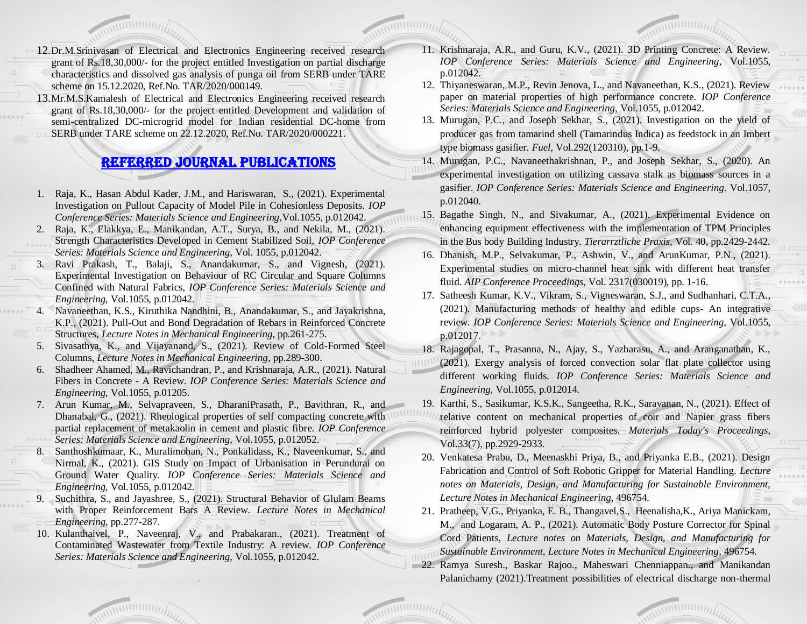- 12.Dr.M.Srinivasan of Electrical and Electronics Engineering received research grant of Rs.18,30,000/- for the project entitled Investigation on partial discharge characteristics and dissolved gas analysis of punga oil from SERB under TARE scheme on 15.12.2020, Ref.No. TAR/2020/000149.
- 13.Mr.M.S.Kamalesh of Electrical and Electronics Engineering received research grant of Rs.18,30,000/- for the project entitled Development and validation of semi-centralized DC-microgrid model for Indian residential DC-home from SERB under TARE scheme on 22.12.2020, Ref.No. TAR/2020/000221.

## Referred JOURNAL publications

- 1. Raja, K., Hasan Abdul Kader, J.M., and Hariswaran, S., (2021). Experimental Investigation on Pullout Capacity of Model Pile in Cohesionless Deposits. *IOP Conference Series: Materials Science and Engineering*,Vol.1055, p.012042.
- 2. Raja, K., Elakkya, E., Manikandan, A.T., Surya, B., and Nekila, M., (2021). Strength Characteristics Developed in Cement Stabilized Soil, *IOP Conference Series: Materials Science and Engineering*, Vol. 1055, p.012042.
- 3. Ravi Prakash, T., Balaji, S., Anandakumar, S., and Vignesh, (2021). Experimental Investigation on Behaviour of RC Circular and Square Columns Confined with Natural Fabrics, *IOP Conference Series: Materials Science and Engineering*, Vol.1055, p.012042.
- 4. Navaneethan, K.S., Kiruthika Nandhini, B., Anandakumar, S., and Jayakrishna, K.P., (2021). Pull-Out and Bond Degradation of Rebars in Reinforced Concrete Structures, *Lecture Notes in Mechanical Engineering*, pp.261-275.
- 5. Sivasathya, K., and Vijayanand, S., (2021). Review of Cold-Formed Steel Columns, *Lecture Notes in Mechanical Engineering*, pp.289-300.
- 6. Shadheer Ahamed, M., Ravichandran, P., and Krishnaraja, A.R., (2021). Natural Fibers in Concrete - A Review. *IOP Conference Series: Materials Science and Engineering*, Vol.1055, p.01205.
- 7. Arun Kumar, M., Selvapraveen, S., DharaniPrasath, P., Bavithran, R., and Dhanabal, G., (2021). Rheological properties of self compacting concrete with partial replacement of metakaolin in cement and plastic fibre. *IOP Conference Series: Materials Science and Engineering*, Vol.1055, p.012052.
- 8. Santhoshkumaar, K., Muralimohan, N., Ponkalidass, K., Naveenkumar, S., and Nirmal, K., (2021). GIS Study on Impact of Urbanisation in Perundurai on Ground Water Quality. *IOP Conference Series: Materials Science and Engineering*, Vol.1055, p.012042.
- 9. Suchithra, S., and Jayashree, S., (2021). Structural Behavior of Glulam Beams with Proper Reinforcement Bars A Review. *Lecture Notes in Mechanical Engineering*, pp.277-287.
- 10. Kulanthaivel, P., Naveenraj, V., and Prabakaran., (2021). Treatment of Contaminated Wastewater from Textile Industry: A review. *IOP Conference Series: Materials Science and Engineering*, Vol.1055, p.012042.
- 11. Krishnaraja, A.R., and Guru, K.V., (2021). 3D Printing Concrete: A Review. *IOP Conference Series: Materials Science and Engineering*, Vol.1055, p.012042.
- 12. Thiyaneswaran, M.P., Revin Jenova, L., and Navaneethan, K.S., (2021). Review paper on material properties of high performance concrete. *IOP Conference Series: Materials Science and Engineering*, Vol.1055, p.012042.
- 13. Murugan, P.C., and Joseph Sekhar, S., (2021). Investigation on the yield of producer gas from tamarind shell (Tamarindus Indica) as feedstock in an Imbert type biomass gasifier. *Fuel,* Vol.292(120310), pp.1-9.
- 14. Murugan, P.C., Navaneethakrishnan, P., and Joseph Sekhar, S., (2020). An experimental investigation on utilizing cassava stalk as biomass sources in a gasifier. *IOP Conference Series: Materials Science and Engineering*. Vol.1057, p.012040.
- 15. Bagathe Singh, N., and Sivakumar, A., (2021). Experimental Evidence on enhancing equipment effectiveness with the implementation of TPM Principles in the Bus body Building Industry. *Tierarrztliche Praxis,* Vol. 40, pp.2429-2442.
- 16. Dhanish, M.P., Selvakumar, P., Ashwin, V., and ArunKumar, P.N., (2021). Experimental studies on micro-channel heat sink with different heat transfer fluid. *AIP Conference Proceedings*, Vol. 2317(030019), pp. 1-16.
- 17. Satheesh Kumar, K.V., Vikram, S., Vigneswaran, S.J., and Sudhanhari, C.T.A., (2021). Manufacturing methods of healthy and edible cups- An integrative review. *IOP Conference Series: Materials Science and Engineering*, Vol.1055, p.012017.
- 18. Rajagopal, T., Prasanna, N., Ajay, S., Yazharasu, A., and Aranganathan, K.,
- (2021). Exergy analysis of forced convection solar flat plate collector using different working fluids. *IOP Conference Series: Materials Science and Engineering*, Vol.1055, p.012014.
- 19. Karthi, S., Sasikumar, K.S.K., Sangeetha, R.K., Saravanan, N., (2021). Effect of
- relative content on mechanical properties of coir and Napier grass fibers reinforced hybrid polyester composites. *Materials Today's Proceedings*, Vol.33(7), pp.2929-2933.
- 20. Venkatesa Prabu, D., Meenaskhi Priya, B., and Priyanka E.B., (2021). Design Fabrication and Control of Soft Robotic Gripper for Material Handling. *Lecture notes on Materials, Design, and Manufacturing for Sustainable Environment, Lecture Notes in Mechanical Engineering*, 496754.
- 21. Pratheep, V.G., Priyanka, E. B., Thangavel,S., Heenalisha,K., Ariya Manickam, M., and Logaram, A. P., (2021). Automatic Body Posture Corrector for Spinal Cord Patients, *Lecture notes on Materials, Design, and Manufacturing for Sustainable Environment, Lecture Notes in Mechanical Engineering*, 496754.
- 22. Ramya Suresh., Baskar Rajoo., Maheswari Chenniappan., and Manikandan Palanichamy (2021).Treatment possibilities of electrical discharge non-thermal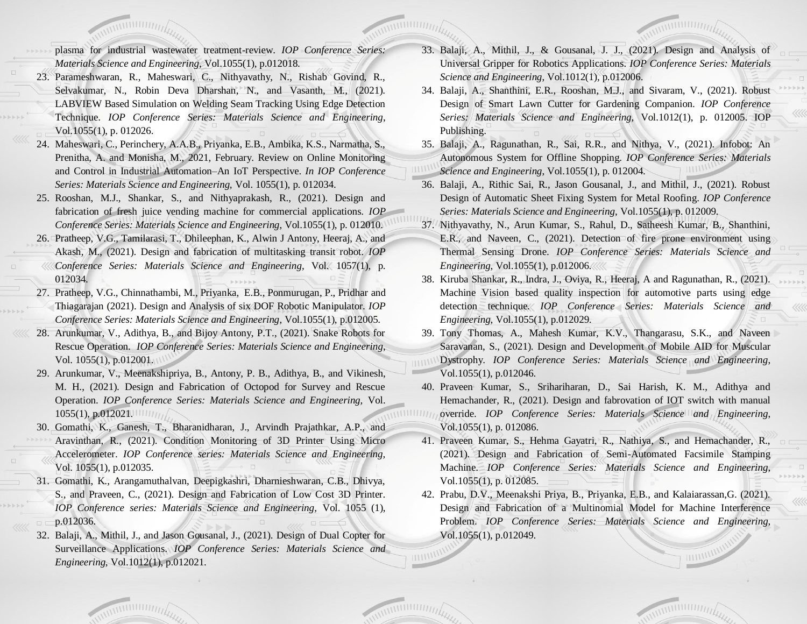plasma for industrial wastewater treatment-review. *IOP Conference Series: Materials Science and Engineering*, Vol.1055(1), p.012018.

- 23. Parameshwaran, R., Maheswari, C., Nithyavathy, N., Rishab Govind, R., Selvakumar, N., Robin Deva Dharshan, N., and Vasanth, M., (2021). LABVIEW Based Simulation on Welding Seam Tracking Using Edge Detection Technique. *IOP Conference Series: Materials Science and Engineering*, Vol.1055(1), p. 012026.
- 24. Maheswari, C., Perinchery, A.A.B., Priyanka, E.B., Ambika, K.S., Narmatha, S., Prenitha, A. and Monisha, M., 2021, February. Review on Online Monitoring and Control in Industrial Automation–An IoT Perspective. *In IOP Conference Series: Materials Science and Engineering,* Vol. 1055(1), p. 012034.
- 25. Rooshan, M.J., Shankar, S., and Nithyaprakash, R., (2021). Design and fabrication of fresh juice vending machine for commercial applications. *IOP Conference Series: Materials Science and Engineering*, Vol.1055(1), p. 012010.
- 26. Pratheep, V.G., Tamilarasi, T., Dhileephan, K., Alwin J Antony, Heeraj, A., and Akash, M., (2021). Design and fabrication of multitasking transit robot. *IOP Conference Series: Materials Science and Engineering,* Vol. 1057(1), p. 012034.
- 27. Pratheep, V.G., Chinnathambi, M., Priyanka, E.B., Ponmurugan, P., Pridhar and Thiagarajan (2021). Design and Analysis of six DOF Robotic Manipulator. *IOP Conference Series: Materials Science and Engineering*, Vol.1055(1), p.012005.
- 28. Arunkumar, V., Adithya, B., and Bijoy Antony, P.T., (2021). Snake Robots for Rescue Operation. *IOP Conference Series: Materials Science and Engineering*, Vol. 1055(1), p.012001.
- 29. Arunkumar, V., Meenakshipriya, B., Antony, P. B., Adithya, B., and Vikinesh, M. H., (2021). Design and Fabrication of Octopod for Survey and Rescue Operation. *IOP Conference Series: Materials Science and Engineering,* Vol. 1055(1), p.012021.
- 30. Gomathi, K., Ganesh, T., Bharanidharan, J., Arvindh Prajathkar, A.P., and Aravinthan, R., (2021). Condition Monitoring of 3D Printer Using Micro Accelerometer. *IOP Conference series: Materials Science and Engineering,* Vol. 1055(1), p.012035.
- 31. Gomathi, K., Arangamuthalvan, Deepigkashri, Dharnieshwaran, C.B., Dhivya, S., and Praveen, C., (2021). Design and Fabrication of Low Cost 3D Printer. *IOP Conference series: Materials Science and Engineering,* Vol. 1055 (1), p.012036.
- 32. Balaji, A., Mithil, J., and Jason Gousanal, J., (2021). Design of Dual Copter for Surveillance Applications. *IOP Conference Series: Materials Science and Engineering*, Vol.1012(1), p.012021.
- 33. Balaji, A., Mithil, J., & Gousanal, J. J., (2021). Design and Analysis of Universal Gripper for Robotics Applications. *IOP Conference Series: Materials Science and Engineering*, Vol.1012(1), p.012006.
- 34. Balaji, A., Shanthini, E.R., Rooshan, M.J., and Sivaram, V., (2021). Robust Design of Smart Lawn Cutter for Gardening Companion. *IOP Conference Series: Materials Science and Engineering,* Vol.1012(1), p. 012005. IOP Publishing.
- 35. Balaji, A., Ragunathan, R., Sai, R.R., and Nithya, V., (2021). Infobot: An Autonomous System for Offline Shopping. *IOP Conference Series: Materials Science and Engineering*, Vol.1055(1), p. 012004.
- 36. Balaji, A., Rithic Sai, R., Jason Gousanal, J., and Mithil, J., (2021). Robust Design of Automatic Sheet Fixing System for Metal Roofing. *IOP Conference Series: Materials Science and Engineering*, Vol.1055(1), p. 012009.
- 37. Nithyavathy, N., Arun Kumar, S., Rahul, D., Satheesh Kumar, B., Shanthini, E.R., and Naveen, C., (2021). Detection of fire prone environment using Thermal Sensing Drone. *IOP Conference Series: Materials Science and Engineering*, Vol.1055(1), p.012006.
- 38. Kiruba Shankar, R., Indra, J., Oviya, R., Heeraj, A and Ragunathan, R., (2021). Machine Vision based quality inspection for automotive parts using edge detection technique. *IOP Conference Series: Materials Science and Engineering*, Vol.1055(1), p.012029.
- 39. Tony Thomas, A., Mahesh Kumar, K.V., Thangarasu, S.K., and Naveen Saravanan, S., (2021). Design and Development of Mobile AID for Muscular Dystrophy. *IOP Conference Series: Materials Science and Engineering*, Vol.1055(1), p.012046.
- 40. Praveen Kumar, S., Srihariharan, D., Sai Harish, K. M., Adithya and Hemachander, R., (2021). Design and fabrovation of IOT switch with manual override. *IOP Conference Series: Materials Science and Engineering*, Vol.1055(1), p. 012086.
- 41. Praveen Kumar, S., Hehma Gayatri, R., Nathiya, S., and Hemachander, R., (2021). Design and Fabrication of Semi-Automated Facsimile Stamping Machine. *IOP Conference Series: Materials Science and Engineering*, Vol.1055(1), p. 012085.
- 42. Prabu, D.V., Meenakshi Priya, B., Priyanka, E.B., and Kalaiarassan, G.  $(2021)$ . Design and Fabrication of a Multinomial Model for Machine Interference Problem. *IOP Conference Series: Materials Science and Engineering*, Vol.1055(1), p.012049.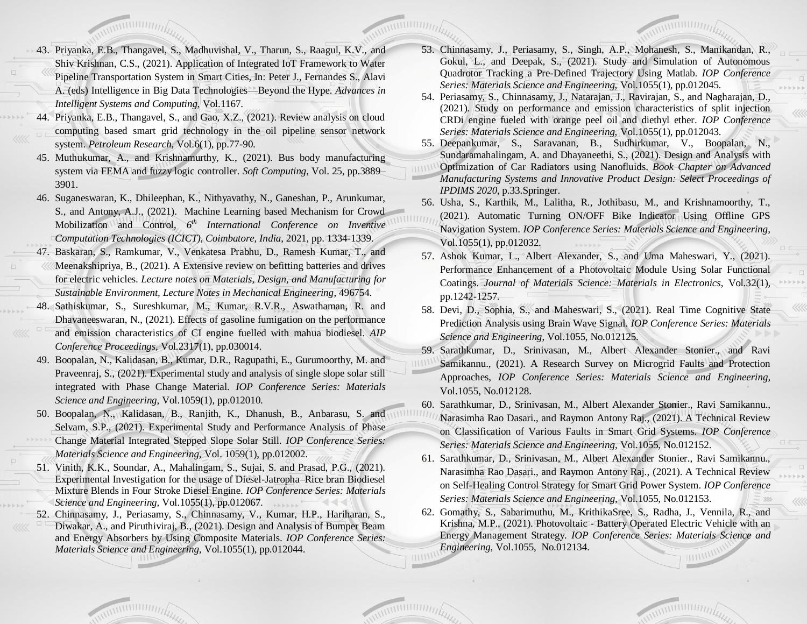- 43. Priyanka, E.B., Thangavel, S., Madhuvishal, V., Tharun, S., Raagul, K.V., and Shiv Krishnan, C.S., (2021). Application of Integrated IoT Framework to Water Pipeline Transportation System in Smart Cities, In: Peter J., Fernandes S., Alavi A. (eds) Intelligence in Big Data Technologies—Beyond the Hype. *Advances in Intelligent Systems and Computing*, Vol.1167.
- 44. Priyanka, E.B., Thangavel, S., and Gao, X.Z., (2021). Review analysis on cloud computing based smart grid technology in the oil pipeline sensor network system. *Petroleum Research*, Vol.6(1), pp.77-90.
- 45. Muthukumar, A., and Krishnamurthy, K., (2021). Bus body manufacturing system via FEMA and fuzzy logic controller. *Soft Computing*, Vol. 25, pp.3889– 3901.
- 46. Suganeswaran, K., Dhileephan, K., Nithyavathy, N., Ganeshan, P., Arunkumar, S., and Antony, A.J., (2021). Machine Learning based Mechanism for Crowd Mobilization and Control, *6 th International Conference on Inventive Computation Technologies (ICICT), Coimbatore, India*, 2021, pp. 1334-1339.
- 47. Baskaran, S., Ramkumar, V., Venkatesa Prabhu, D., Ramesh Kumar, T., and Meenakshipriya, B., (2021). A Extensive review on befitting batteries and drives for electric vehicles. *Lecture notes on Materials, Design, and Manufacturing for Sustainable Environment, Lecture Notes in Mechanical Engineering*, 496754.
- 48. Sathiskumar, S., Sureshkumar, M., Kumar, R.V.R., Aswathaman, R. and Dhavaneeswaran, N., (2021). Effects of gasoline fumigation on the performance and emission characteristics of CI engine fuelled with mahua biodiesel. *AIP Conference Proceedings*, Vol.2317(1), pp.030014.
- 49. Boopalan, N., Kalidasan, B., Kumar, D.R., Ragupathi, E., Gurumoorthy, M. and Praveenraj, S., (2021). Experimental study and analysis of single slope solar still integrated with Phase Change Material. *IOP Conference Series: Materials Science and Engineering,* Vol.1059(1), pp.012010.
- 50. Boopalan, N., Kalidasan, B., Ranjith, K., Dhanush, B., Anbarasu, S. and Selvam, S.P., (2021). Experimental Study and Performance Analysis of Phase Change Material Integrated Stepped Slope Solar Still. *IOP Conference Series: Materials Science and Engineering,* Vol. 1059(1), pp.012002.
- 51. Vinith, K.K., Soundar, A., Mahalingam, S., Sujai, S. and Prasad, P.G., (2021). Experimental Investigation for the usage of Diesel-Jatropha–Rice bran Biodiesel Mixture Blends in Four Stroke Diesel Engine. *IOP Conference Series: Materials Science and Engineering,* Vol.1055(1), pp.012067.
- 52. Chinnasamy, J., Periasamy, S., Chinnasamy, V., Kumar, H.P., Hariharan, S., Diwakar, A., and Piruthiviraj, B., (2021). Design and Analysis of Bumper Beam and Energy Absorbers by Using Composite Materials. *IOP Conference Series: Materials Science and Engineering,* Vol.1055(1), pp.012044.
- 53. Chinnasamy, J., Periasamy, S., Singh, A.P., Mohanesh, S., Manikandan, R., Gokul, L., and Deepak, S., (2021). Study and Simulation of Autonomous Quadrotor Tracking a Pre-Defined Trajectory Using Matlab. *IOP Conference Series: Materials Science and Engineering,* Vol.1055(1), pp.012045.
- 54. Periasamy, S., Chinnasamy, J., Natarajan, J., Ravirajan, S., and Nagharajan, D., (2021). Study on performance and emission characteristics of split injection CRDi engine fueled with orange peel oil and diethyl ether. *IOP Conference Series: Materials Science and Engineering,* Vol.1055(1), pp.012043.
- 55. Deepankumar, S., Saravanan, B., Sudhirkumar, V., Boopalan, N., Sundaramahalingam, A. and Dhayaneethi, S., (2021). Design and Analysis with

Optimization of Car Radiators using Nanofluids. *Book Chapter on Advanced Manufacturing Systems and Innovative Product Design: Select Proceedings of IPDIMS 2020*, p.33.Springer.

- 56. Usha, S., Karthik, M., Lalitha, R., Jothibasu, M., and Krishnamoorthy, T., (2021). Automatic Turning ON/OFF Bike Indicator Using Offline GPS Navigation System. *IOP Conference Series: Materials Science and Engineering,* Vol.1055(1), pp.012032.
- 57. Ashok Kumar, L., Albert Alexander, S., and Uma Maheswari, Y., (2021). Performance Enhancement of a Photovoltaic Module Using Solar Functional Coatings. *Journal of Materials Science: Materials in Electronics*, Vol.32(1), pp.1242-1257.
- 58. Devi, D., Sophia, S., and Maheswari, S., (2021). Real Time Cognitive State Prediction Analysis using Brain Wave Signal. *IOP Conference Series: Materials Science and Engineering*, Vol.1055, No.012125.
- 59. Sarathkumar, D., Srinivasan, M., Albert Alexander Stonier., and Ravi
- Samikannu., (2021). A Research Survey on Microgrid Faults and Protection Approaches, *IOP Conference Series: Materials Science and Engineering*, Vol.1055, No.012128.
- 60. Sarathkumar, D., Srinivasan, M., Albert Alexander Stonier., Ravi Samikannu.,
- Narasimha Rao Dasari., and Raymon Antony Raj., (2021). A Technical Review on Classification of Various Faults in Smart Grid Systems. *IOP Conference Series: Materials Science and Engineering*, Vol.1055, No.012152.
- 61. Sarathkumar, D., Srinivasan, M., Albert Alexander Stonier., Ravi Samikannu., Narasimha Rao Dasari., and Raymon Antony Raj., (2021). A Technical Review on Self-Healing Control Strategy for Smart Grid Power System. *IOP Conference Series: Materials Science and Engineering*, Vol.1055, No.012153.
- 62. Gomathy, S., Sabarimuthu, M., KrithikaSree, S., Radha, J., Vennila, R., and Krishna, M.P., (2021). Photovoltaic - Battery Operated Electric Vehicle with an Energy Management Strategy. *IOP Conference Series: Materials Science and Engineering*, Vol.1055, No.012134.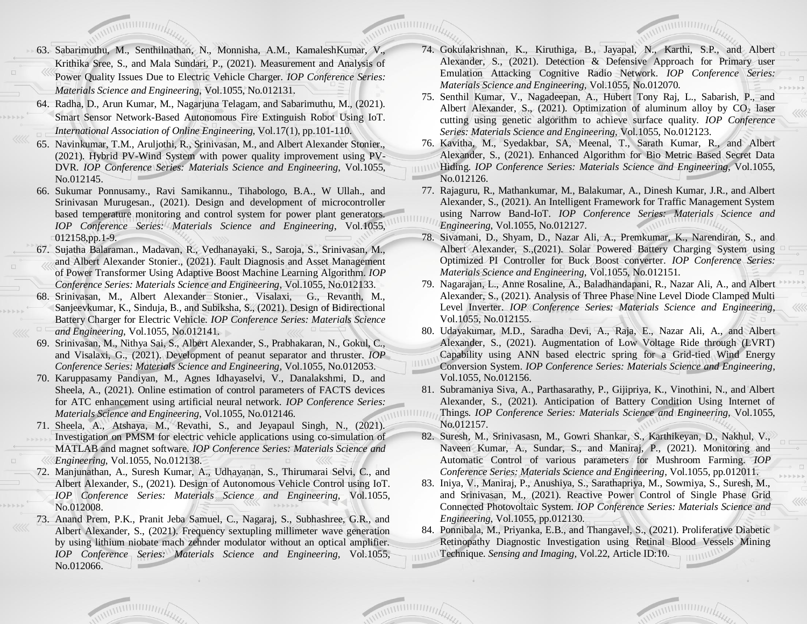- 63. Sabarimuthu, M., Senthilnathan, N., Monnisha, A.M., KamaleshKumar, V., Krithika Sree, S., and Mala Sundari, P., (2021). Measurement and Analysis of Power Quality Issues Due to Electric Vehicle Charger. *IOP Conference Series: Materials Science and Engineering*, Vol.1055, No.012131.
- 64. Radha, D., Arun Kumar, M., Nagarjuna Telagam, and Sabarimuthu, M., (2021). Smart Sensor Network-Based Autonomous Fire Extinguish Robot Using IoT. *International Association of Online Engineering*, Vol.17(1), pp.101-110.
- 65. Navinkumar, T.M., Aruljothi, R., Srinivasan, M., and Albert Alexander Stonier., (2021). Hybrid PV-Wind System with power quality improvement using PV-DVR. *IOP Conference Series: Materials Science and Engineering*, Vol.1055, No.012145.
- 66. Sukumar Ponnusamy., Ravi Samikannu., Tihabologo, B.A., W Ullah., and Srinivasan Murugesan., (2021). Design and development of microcontroller based temperature monitoring and control system for power plant generators. *IOP Conference Series: Materials Science and Engineering*, Vol.1055, 012158,pp.1-9.
- 67. Sujatha Balaraman., Madavan, R., Vedhanayaki, S., Saroja, S., Srinivasan, M., and Albert Alexander Stonier., (2021). Fault Diagnosis and Asset Management of Power Transformer Using Adaptive Boost Machine Learning Algorithm. *IOP Conference Series: Materials Science and Engineering*, Vol.1055, No.012133.
- 68. Srinivasan, M., Albert Alexander Stonier., Visalaxi, G., Revanth, M., Sanjeevkumar, K., Sinduja, B., and Subiksha, S., (2021). Design of Bidirectional Battery Charger for Electric Vehicle. *IOP Conference Series: Materials Science and Engineering*, Vol.1055, No.012141.
- 69. Srinivasan, M., Nithya Sai, S., Albert Alexander, S., Prabhakaran, N., Gokul, C., and Visalaxi, G., (2021). Development of peanut separator and thruster. *IOP Conference Series: Materials Science and Engineering*, Vol.1055, No.012053.
- 70. Karuppasamy Pandiyan, M., Agnes Idhayaselvi, V., Danalakshmi, D., and Sheela, A., (2021). Online estimation of control parameters of FACTS devices for ATC enhancement using artificial neural network. *IOP Conference Series: Materials Science and Engineering*, Vol.1055, No.012146.
- 71. Sheela, A., Atshaya, M., Revathi, S., and Jeyapaul Singh, N., (2021). Investigation on PMSM for electric vehicle applications using co-simulation of MATLAB and magnet software. *IOP Conference Series: Materials Science and Engineering*, Vol.1055, No.012138.
- 72. Manjunathan, A., Suresh Kumar, A., Udhayanan, S., Thirumarai Selvi, C., and Albert Alexander, S., (2021). Design of Autonomous Vehicle Control using IoT. *IOP Conference Series: Materials Science and Engineering*, Vol.1055, No.012008.
- 73. Anand Prem, P.K., Pranit Jeba Samuel, C., Nagaraj, S., Subhashree, G.R., and Albert Alexander, S., (2021). Frequency sextupling millimeter wave generation by using lithium niobate mach zehnder modulator without an optical amplifier. *IOP Conference Series: Materials Science and Engineering*, Vol.1055, No.012066.
- 74. Gokulakrishnan, K., Kiruthiga, B., Jayapal, N., Karthi, S.P., and Albert Alexander, S., (2021). Detection & Defensive Approach for Primary user Emulation Attacking Cognitive Radio Network. *IOP Conference Series: Materials Science and Engineering*, Vol.1055, No.012070.
- 75. Senthil Kumar, V., Nagadeepan, A., Hubert Tony Raj, L., Sabarish, P., and Albert Alexander, S.,  $(2021)$ . Optimization of aluminum alloy by CO<sub>2</sub> laser cutting using genetic algorithm to achieve surface quality. *IOP Conference Series: Materials Science and Engineering*, Vol.1055, No.012123.
- 76. Kavitha, M., Syedakbar, SA, Meenal, T., Sarath Kumar, R., and Albert Alexander, S., (2021). Enhanced Algorithm for Bio Metric Based Secret Data Hiding. *IOP Conference Series: Materials Science and Engineering*, Vol.1055, No.012126.
- 77. Rajaguru, R., Mathankumar, M., Balakumar, A., Dinesh Kumar, J.R., and Albert Alexander, S., (2021). An Intelligent Framework for Traffic Management System using Narrow Band-IoT. *IOP Conference Series: Materials Science and Engineering*, Vol.1055, No.012127.
- 78. Sivamani, D., Shyam, D., Nazar Ali, A., Premkumar, K., Narendiran, S., and Albert Alexander, S.,(2021). Solar Powered Battery Charging System using Optimized PI Controller for Buck Boost converter. *IOP Conference Series: Materials Science and Engineering*, Vol.1055, No.012151.
- 79. Nagarajan, L., Anne Rosaline, A., Baladhandapani, R., Nazar Ali, A., and Albert Alexander, S., (2021). Analysis of Three Phase Nine Level Diode Clamped Multi Level Inverter. *IOP Conference Series: Materials Science and Engineering*, Vol.1055, No.012155.
- 80. Udayakumar, M.D., Saradha Devi, A., Raja, E., Nazar Ali, A., and Albert Alexander, S., (2021). Augmentation of Low Voltage Ride through (LVRT) Capability using ANN based electric spring for a Grid-tied Wind Energy
- Conversion System. *IOP Conference Series: Materials Science and Engineering*, Vol.1055, No.012156.
- 81. Subramaniya Siva, A., Parthasarathy, P., Gijipriya, K., Vinothini, N., and Albert Alexander, S., (2021). Anticipation of Battery Condition Using Internet of Things. *IOP Conference Series: Materials Science and Engineering*, Vol.1055,  $11111111$ No.012157.
	- 82. Suresh, M., Srinivasasn, M., Gowri Shankar, S., Karthikeyan, D., Nakhul, V., Naveen Kumar, A., Sundar, S., and Maniraj, P., (2021). Monitoring and Automatic Control of various parameters for Mushroom Farming. *IOP Conference Series: Materials Science and Engineering*, Vol.1055, pp.012011.
	- 83. Iniya, V., Maniraj, P., Anushiya, S., Sarathapriya, M., Sowmiya, S., Suresh, M., and Srinivasan, M., (2021). Reactive Power Control of Single Phase Grid Connected Photovoltaic System. *IOP Conference Series: Materials Science and Engineering*, Vol.1055, pp.012130.
	- 84. Ponnibala, M., Priyanka, E.B., and Thangavel, S., (2021). Proliferative Diabetic Retinopathy Diagnostic Investigation using Retinal Blood Vessels Mining Technique. *Sensing and Imaging,* Vol.22, Article ID:10.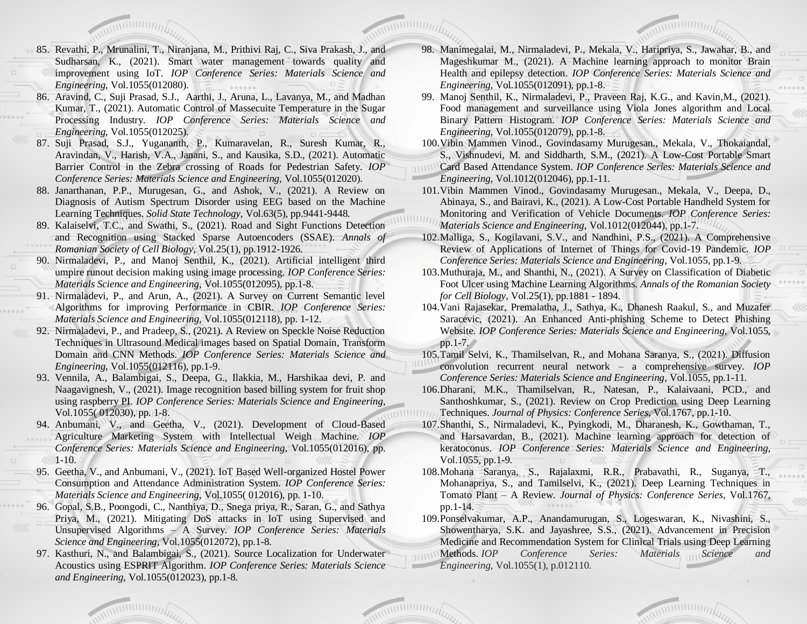- 85. Revathi, P., Mrunalini, T., Niranjana, M., Prithivi Raj, C., Siva Prakash, J., and Sudharsan, K., (2021). Smart water management towards quality and improvement using IoT. *IOP Conference Series: Materials Science and Engineering,* Vol.1055(012080).
- 86. Aravind, C., Suji Prasad, S.J., Aarthi, J., Aruna, L., Lavanya, M., and Madhan Kumar, T., (2021). Automatic Control of Massecuite Temperature in the Sugar Processing Industry. *IOP Conference Series: Materials Science and Engineering*, Vol.1055(012025).
- 87. Suji Prasad, S.J., Yugananth, P., Kumaravelan, R., Suresh Kumar, R., Aravindan, V., Harish, V.A., Janani, S., and Kausika, S.D., (2021). Automatic Barrier Control in the Zebra crossing of Roads for Pedestrian Safety. *IOP Conference Series: Materials Science and Engineering,* Vol.1055(012020).
- 88. Janarthanan, P.P., Murugesan, G., and Ashok, V., (2021). A Review on Diagnosis of Autism Spectrum Disorder using EEG based on the Machine Learning Techniques. *Solid State Technology*, Vol.63(5), pp.9441-9448.
- 89. Kalaiselvi, T.C., and Swathi, S., (2021). Road and Sight Functions Detection and Recognition using Stacked Sparse Autoencoders (SSAE). *Annals of Romanian Society of Cell Biology*, Vol.25(1), pp.1912-1926.
- 90. Nirmaladevi, P., and Manoj Senthil, K., (2021). Artificial intelligent third umpire runout decision making using image processing. *IOP Conference Series: Materials Science and Engineering*, Vol.1055(012095), pp.1-8.
- 91. Nirmaladevi, P., and Arun, A., (2021). A Survey on Current Semantic level Algorithms for improving Performance in CBIR. *IOP Conference Series: Materials Science and Engineering*, Vol.1055(012118), pp. 1-12.
- 92. Nirmaladevi, P., and Pradeep, S., (2021). A Review on Speckle Noise Reduction Techniques in Ultrasound Medical images based on Spatial Domain, Transform Domain and CNN Methods. *IOP Conference Series: Materials Science and Engineering*, Vol.1055(012116), pp.1-9.
- 93. Vennila, A., Balambigai, S., Deepa, G., Ilakkia, M., Harshikaa devi, P. and Naagavignesh, V., (2021). Image recognition based billing system for fruit shop using raspberry PI. *IOP Conference Series: Materials Science and Engineering*, Vol.1055( 012030), pp. 1-8.
- 94. Anbumani, V., and Geetha, V., (2021). Development of Cloud-Based Agriculture Marketing System with Intellectual Weigh Machine. *IOP Conference Series: Materials Science and Engineering*, Vol.1055(012016), pp.  $\ll 1-10.$
- 95. Geetha, V., and Anbumani, V., (2021). IoT Based Well-organized Hostel Power Consumption and Attendance Administration System. *IOP Conference Series: Materials Science and Engineering*, Vol.1055( 012016), pp. 1-10.
- 96. Gopal, S.B., Poongodi, C., Nanthiya, D., Snega priya, R., Saran, G., and Sathya Priya, M., (2021). Mitigating DoS attacks in IoT using Supervised and Unsupervised Algorithms – A Survey. *IOP Conference Series: Materials Science and Engineering*, Vol.1055(012072), pp.1-8.
- 97. Kasthuri, N., and Balambigai, S., (2021). Source Localization for Underwater Acoustics using ESPRIT Algorithm. *IOP Conference Series: Materials Science and Engineering*, Vol.1055(012023), pp.1-8.
- 98. Manimegalai, M., Nirmaladevi, P., Mekala, V., Haripriya, S., Jawahar, B., and Mageshkumar M., (2021). A Machine learning approach to monitor Brain Health and epilepsy detection. *IOP Conference Series: Materials Science and Engineering*, Vol.1055(012091), pp.1-8.
- 99. Manoj Senthil, K., Nirmaladevi, P., Praveen Raj, K.G., and Kavin,M., (2021). Food management and surveillance using Viola Jones algorithm and Local Binary Pattern Histogram. *IOP Conference Series: Materials Science and Engineering*, Vol.1055(012079), pp.1-8.
- 100.Vibin Mammen Vinod., Govindasamy Murugesan., Mekala, V., Thokaiandal, S., Vishnudevi, M. and Siddharth, S.M., (2021). A Low-Cost Portable Smart
- Card Based Attendance System. *IOP Conference Series: Materials Science and Engineering*, Vol.1012(012046), pp.1-11.
- 101.Vibin Mammen Vinod., Govindasamy Murugesan., Mekala, V., Deepa, D., Abinaya, S., and Bairavi, K., (2021). A Low-Cost Portable Handheld System for Monitoring and Verification of Vehicle Documents. *IOP Conference Series: Materials Science and Engineering*, Vol.1012(012044), pp.1-7.
- 102.Malliga, S., Kogilavani, S.V., and Nandhini, P.S., (2021). A Comprehensive Review of Applications of Internet of Things for Covid-19 Pandemic. *IOP Conference Series: Materials Science and Engineering*, Vol.1055, pp.1-9.
- 103.Muthuraja, M., and Shanthi, N., (2021). A Survey on Classification of Diabetic Foot Ulcer using Machine Learning Algorithms. *Annals of the Romanian Society for Cell Biology*, Vol.25(1), pp.1881 - 1894.
- 104.Vani Rajasekar, Premalatha, J., Sathya, K., Dhanesh Raakul, S., and Muzafer Saracevic, (2021). An Enhanced Anti-phishing Scheme to Detect Phishing Website. *IOP Conference Series: Materials Science and Engineering*, Vol.1055, pp.1-7.
- 105.Tamil Selvi, K., Thamilselvan, R., and Mohana Saranya, S., (2021). Diffusion
- convolution recurrent neural network a comprehensive survey. *IOP Conference Series: Materials Science and Engineering*, Vol.1055, pp.1-11.
- 106.Dharani, M.K., Thamilselvan, R., Natesan, P., Kalaivaani, PCD., and Santhoshkumar, S., (2021). Review on Crop Prediction using Deep Learning Techniques. *Journal of Physics: Conference Series*, Vol.1767, pp.1-10.
- 107.Shanthi, S., Nirmaladevi, K., Pyingkodi, M., Dharanesh, K., Gowthaman, T., and Harsavardan, B., (2021). Machine learning approach for detection of keratoconus. *IOP Conference Series: Materials Science and Engineering*, Vol.1055, pp.1-9.
- 108.Mohana Saranya, S., Rajalaxmi, R.R., Prabavathi, R., Suganya, T., Mohanapriya, S., and Tamilselvi, K., (2021). Deep Learning Techniques in Tomato Plant – A Review. *Journal of Physics: Conference Series*, Vol.1767, pp.1-14.
- 109.Ponselvakumar, A.P., Anandamurugan, S., Logeswaran, K., Nivashini, S., Showentharya, S.K. and Jayashree, S.S., (2021). Advancement in Precision Medicine and Recommendation System for Clinical Trials using Deep Learning Methods. *IOP Conference Series: Materials Science and Engineering,* Vol.1055(1), p.012110.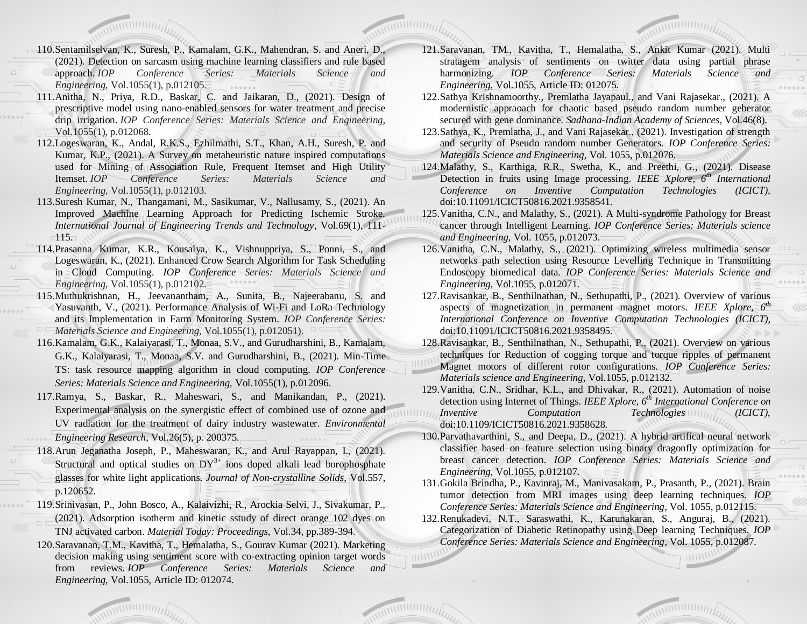- 110.Sentamilselvan, K., Suresh, P., Kamalam, G.K., Mahendran, S. and Aneri, D., (2021). Detection on sarcasm using machine learning classifiers and rule based approach. *IOP Conference Series: Materials Science and Engineering,* Vol.1055(1), p.012105.
- 111.Anitha, N., Priya, R.D., Baskar, C. and Jaikaran, D., (2021). Design of prescriptive model using nano-enabled sensors for water treatment and precise drip irrigation. *IOP Conference Series: Materials Science and Engineering,*  Vol.1055(1), p.012068.
- 112.Logeswaran, K., Andal, R.K.S., Ezhilmathi, S.T., Khan, A.H., Suresh, P. and Kumar, K.P., (2021). A Survey on metaheuristic nature inspired computations used for Mining of Association Rule, Frequent Itemset and High Utility Itemset. *IOP Conference Series: Materials Science and Engineering,* Vol.1055(1), p.012103.
- 113.Suresh Kumar, N., Thangamani, M., Sasikumar, V., Nallusamy, S., (2021). An Improved Machine Learning Approach for Predicting Ischemic Stroke. *International Journal of Engineering Trends and Technology*, Vol.69(1), 111- 115.
- 114.Prasanna Kumar, K.R., Kousalya, K., Vishnuppriya, S., Ponni, S., and Logeswaran, K., (2021). Enhanced Crow Search Algorithm for Task Scheduling in Cloud Computing. *IOP Conference Series: Materials Science and Engineering,* Vol.1055(1), p.012102.
- 115.Muthukrishnan, H., Jeevanantham, A., Sunita, B., Najeerabanu, S. and Yasuvanth, V., (2021). Performance Analysis of Wi-Fi and LoRa Technology and its Implementation in Farm Monitoring System. *IOP Conference Series: Materials Science and Engineering,* Vol.1055(1), p.012051).
- 116.Kamalam, G.K., Kalaiyarasi, T., Monaa, S.V., and Gurudharshini, B., Kamalam, G.K., Kalaiyarasi, T., Monaa, S.V. and Gurudharshini, B., (2021). Min-Time TS: task resource mapping algorithm in cloud computing. *IOP Conference Series: Materials Science and Engineering,* Vol.1055(1), p.012096.
- 117.Ramya, S., Baskar, R., Maheswari, S., and Manikandan, P., (2021). Experimental analysis on the synergistic effect of combined use of ozone and UV radiation for the treatment of dairy industry wastewater. *Environmental Engineering Research*, Vol.26(5), p. 200375.
- 118.Arun Jeganatha Joseph, P., Maheswaran, K., and Arul Rayappan, I., (2021). Structural and optical studies on  $DY^{3+}$  ions doped alkali lead borophosphate glasses for white light applications. *Journal of Non-crystalline Solids*, Vol.557, p.120652.
- 119.Srinivasan, P., John Bosco, A., Kalaivizhi, R., Arockia Selvi, J., Sivakumar, P., (2021). Adsorption isotherm and kinetic sstudy of direct orange 102 dyes on TNJ activated carbon. *Material Today: Proceedings*, Vol.34, pp.389-394.
- 120.Saravanan, T.M., Kavitha, T., Hemalatha, S., Gourav Kumar (2021). Marketing decision making using sentiment score with co-extracting opinion target words from reviews. *IOP Conference Series: Materials Science and Engineering*, Vol.1055, Article ID: 012074.
- 121.Saravanan, TM., Kavitha, T., Hemalatha, S., Ankit Kumar (2021). Multi stratagem analysis of sentiments on twitter data using partial phrase harmonizing. *IOP Conference Series: Materials Science and Engineering*, Vol.1055, Article ID: 012075.
- 122.Sathya Krishnamoorthy., Premlatha Jayapaul., and Vani Rajasekar., (2021). A modernistic appraoach for chaotic based pseudo random number geberator secured with gene dominance. *Sadhana-Indian Academy of Sciences*, Vol.46(8).
- 123.Sathya, K., Premlatha, J., and Vani Rajasekar., (2021). Investigation of strength and security of Pseudo random number Generators. *IOP Conference Series: Materials Science and Engineering*, Vol. 1055, p.012076.
- 124.Malathy, S., Karthiga, R.R., Swetha, K., and Preethi, G., (2021). Disease Detection in fruits using Image processing. *IEEE Xplore, 6th International Conference on Inventive Computation Technologies (ICICT),* doi:10.11091/ICICT50816.2021.9358541.
- 125.Vanitha, C.N., and Malathy, S., (2021). A Multi-syndrome Pathology for Breast cancer through Intelligent Learning. *IOP Conference Series: Materials science and Engineering*, Vol. 1055, p.012073.
- 126.Vanitha, C.N., Malathy, S., (2021). Optimizing wireless multimedia sensor networks path selection using Resource Levelling Technique in Transmitting Endoscopy biomedical data. *IOP Conference Series: Materials Science and Engineering*, Vol.1055, p.012071.
- 127.Ravisankar, B., Senthilnathan, N., Sethupathi, P., (2021). Overview of various aspects of magnetization in permanent magnet motors. *IEEE Xplore, 6th International Conference on Inventive Computation Technologies (ICICT)*, doi:10.11091/ICICT50816.2021.9358495.
- 128.Ravisankar, B., Senthilnathan, N., Sethupathi, P., (2021). Overview on various techniques for Reduction of cogging torque and torque ripples of permanent
- Magnet motors of different rotor configurations. *IOP Conference Series: Materials science and Engineering*, Vol.1055, p.012132.
- 129.Vanitha, C.N., Sridhar, K.L., and Dhivakar, R., (2021). Automation of noise detection using Internet of Things. *IEEE Xplore, 6th International Conference on Inventive Computation Technologies* (*ICICT*), doi:10.1109/ICICT50816.2021.9358628.
- 130.Parvathavarthini, S., and Deepa, D., (2021). A hybrid artifical neural network classifier based on feature selection using binary dragonfly optimization for breast cancer detection. *IOP Conference Series: Materials Science and Engineering*, Vol.1055, p.012107.
- 131.Gokila Brindha, P., Kavinraj, M., Manivasakam, P., Prasanth, P., (2021). Brain tumor detection from MRI images using deep learning techniques. *IOP Conference Series: Materials Science and Engineering*, Vol. 1055, p.012115.
- 132.Renukadevi, N.T., Saraswathi, K., Karunakaran, S., Anguraj, B., (2021). Categorization of Diabetic Retinopathy using Deep learning Techniques. *IOP Conference Series: Materials Science and Engineering*, Vol. 1055, p.012087.